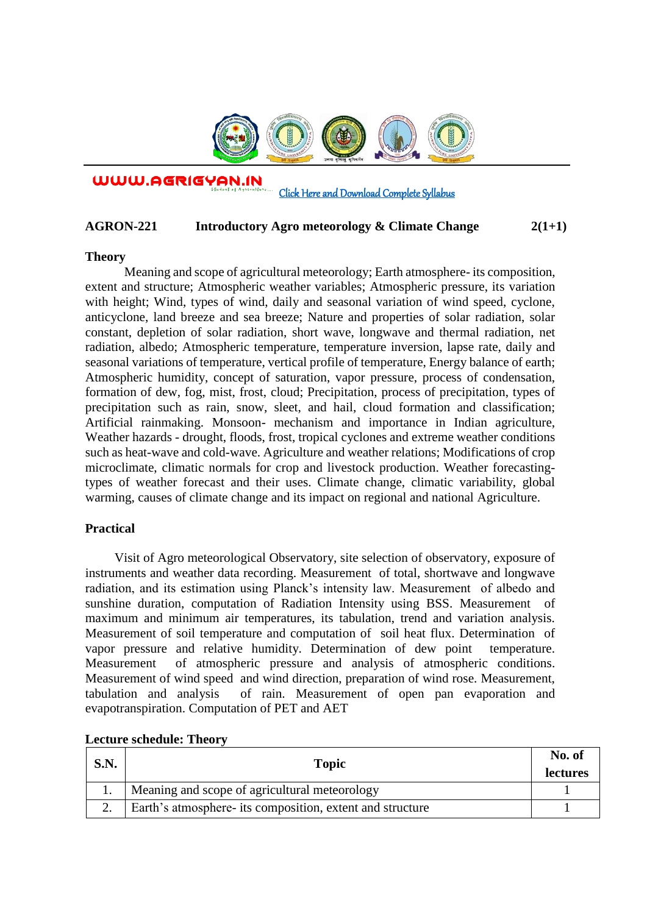

WWW.AGRIGYAN.IN

## [Click Here and Download Complete Syllabus](http://agrigyan.in/)

## **AGRON-221 Introductory Agro meteorology & Climate Change 2(1+1)**

#### **Theory**

 $\overline{a}$ 

Meaning and scope of agricultural meteorology; Earth atmosphere- its composition, extent and structure; Atmospheric weather variables; Atmospheric pressure, its variation with height; Wind, types of wind, daily and seasonal variation of wind speed, cyclone, anticyclone, land breeze and sea breeze; Nature and properties of solar radiation, solar constant, depletion of solar radiation, short wave, longwave and thermal radiation, net radiation, albedo; Atmospheric temperature, temperature inversion, lapse rate, daily and seasonal variations of temperature, vertical profile of temperature, Energy balance of earth; Atmospheric humidity, concept of saturation, vapor pressure, process of condensation, formation of dew, fog, mist, frost, cloud; Precipitation, process of precipitation, types of precipitation such as rain, snow, sleet, and hail, cloud formation and classification; Artificial rainmaking. Monsoon- mechanism and importance in Indian agriculture, Weather hazards - drought, floods, frost, tropical cyclones and extreme weather conditions such as heat-wave and cold-wave. Agriculture and weather relations; Modifications of crop microclimate, climatic normals for crop and livestock production. Weather forecastingtypes of weather forecast and their uses. Climate change, climatic variability, global warming, causes of climate change and its impact on regional and national Agriculture.

## **Practical**

Visit of Agro meteorological Observatory, site selection of observatory, exposure of instruments and weather data recording. Measurement of total, shortwave and longwave radiation, and its estimation using Planck's intensity law. Measurement of albedo and sunshine duration, computation of Radiation Intensity using BSS. Measurement of maximum and minimum air temperatures, its tabulation, trend and variation analysis. Measurement of soil temperature and computation of soil heat flux. Determination of vapor pressure and relative humidity. Determination of dew point temperature. Measurement of atmospheric pressure and analysis of atmospheric conditions. Measurement of wind speed and wind direction, preparation of wind rose. Measurement, tabulation and analysis of rain. Measurement of open pan evaporation and evapotranspiration. Computation of PET and AET

| S.N. | Topic                                                     | No. of<br><b>lectures</b> |
|------|-----------------------------------------------------------|---------------------------|
|      | Meaning and scope of agricultural meteorology             |                           |
|      | Earth's atmosphere- its composition, extent and structure |                           |

#### **Lecture schedule: Theory**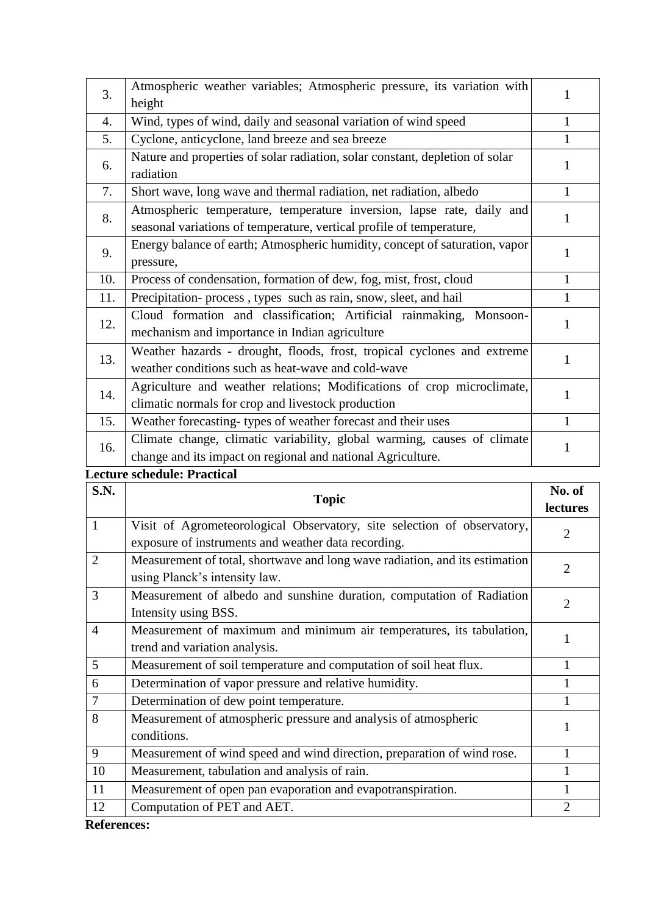| 3.  | Atmospheric weather variables; Atmospheric pressure, its variation with      |              |
|-----|------------------------------------------------------------------------------|--------------|
|     | height                                                                       |              |
| 4.  | Wind, types of wind, daily and seasonal variation of wind speed              | 1            |
| 5.  | Cyclone, anticyclone, land breeze and sea breeze                             |              |
| 6.  | Nature and properties of solar radiation, solar constant, depletion of solar |              |
|     | radiation                                                                    |              |
| 7.  | Short wave, long wave and thermal radiation, net radiation, albedo           | 1            |
| 8.  | Atmospheric temperature, temperature inversion, lapse rate, daily and        |              |
|     | seasonal variations of temperature, vertical profile of temperature,         |              |
| 9.  | Energy balance of earth; Atmospheric humidity, concept of saturation, vapor  |              |
|     | pressure,                                                                    |              |
| 10. | Process of condensation, formation of dew, fog, mist, frost, cloud           | 1            |
| 11. | Precipitation- process, types such as rain, snow, sleet, and hail            |              |
|     | Cloud formation and classification; Artificial rainmaking, Monsoon-          |              |
| 12. | mechanism and importance in Indian agriculture                               |              |
| 13. | Weather hazards - drought, floods, frost, tropical cyclones and extreme      |              |
|     | weather conditions such as heat-wave and cold-wave                           |              |
| 14. | Agriculture and weather relations; Modifications of crop microclimate,       |              |
|     | climatic normals for crop and livestock production                           |              |
| 15. | Weather forecasting-types of weather forecast and their uses                 | $\mathbf{1}$ |
| 16. | Climate change, climatic variability, global warming, causes of climate      |              |
|     | change and its impact on regional and national Agriculture.                  |              |

# **Lecture schedule: Practical**

| <b>S.N.</b>    | <b>Topic</b>                                                                | No. of         |
|----------------|-----------------------------------------------------------------------------|----------------|
|                |                                                                             | lectures       |
| 1              | Visit of Agrometeorological Observatory, site selection of observatory,     | $\overline{2}$ |
|                | exposure of instruments and weather data recording.                         |                |
| $\overline{2}$ | Measurement of total, shortwave and long wave radiation, and its estimation | 2              |
|                | using Planck's intensity law.                                               |                |
| 3              | Measurement of albedo and sunshine duration, computation of Radiation       | 2              |
|                | Intensity using BSS.                                                        |                |
| $\overline{4}$ | Measurement of maximum and minimum air temperatures, its tabulation,        |                |
|                | trend and variation analysis.                                               |                |
| 5              | Measurement of soil temperature and computation of soil heat flux.          |                |
| 6              | Determination of vapor pressure and relative humidity.                      |                |
| $\overline{7}$ | Determination of dew point temperature.                                     |                |
| 8              | Measurement of atmospheric pressure and analysis of atmospheric             | 1              |
|                | conditions.                                                                 |                |
| 9              | Measurement of wind speed and wind direction, preparation of wind rose.     |                |
| 10             | Measurement, tabulation and analysis of rain.                               |                |
| 11             | Measurement of open pan evaporation and evapotranspiration.                 |                |
| 12             | Computation of PET and AET.                                                 | $\overline{2}$ |

**References:**